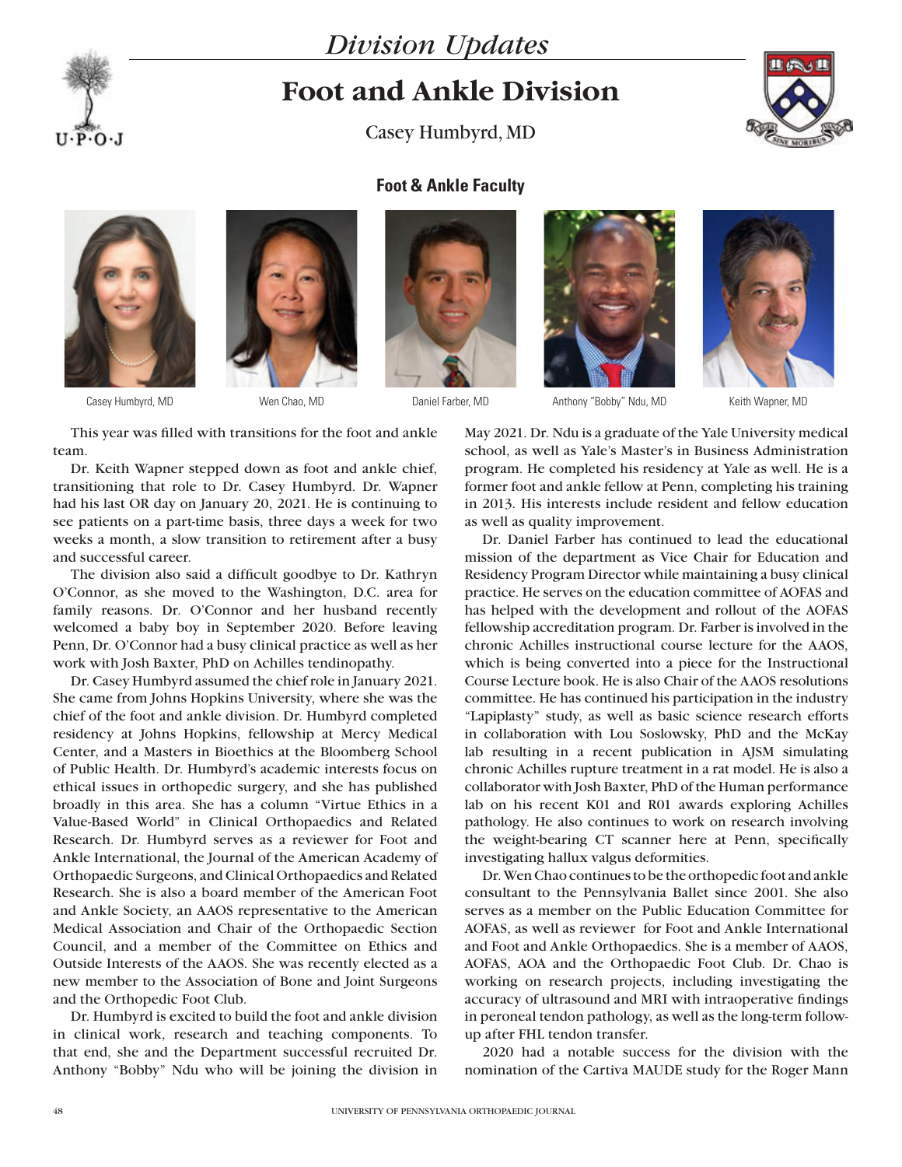

## *Division Updates*

## **Foot and Ankle Division**

Casey Humbyrd, MD



## **Foot & Ankle Faculty**







Casey Humbyrd, MD Wen Chao, MD Daniel Farber, MD Anthony "Bobby" Ndu, MD

Keith Wapner, MD

This year was filled with transitions for the foot and ankle team.

Dr. Keith Wapner stepped down as foot and ankle chief, transitioning that role to Dr. Casey Humbyrd. Dr. Wapner had his last OR day on January 20, 2021. He is continuing to see patients on a part-time basis, three days a week for two weeks a month, a slow transition to retirement after a busy and successful career.

The division also said a difficult goodbye to Dr. Kathryn O'Connor, as she moved to the Washington, D.C. area for family reasons. Dr. O'Connor and her husband recently welcomed a baby boy in September 2020. Before leaving Penn, Dr. O'Connor had a busy clinical practice as well as her work with Josh Baxter, PhD on Achilles tendinopathy.

Dr. Casey Humbyrd assumed the chief role in January 2021. She came from Johns Hopkins University, where she was the chief of the foot and ankle division. Dr. Humbyrd completed residency at Johns Hopkins, fellowship at Mercy Medical Center, and a Masters in Bioethics at the Bloomberg School of Public Health. Dr. Humbyrd's academic interests focus on ethical issues in orthopedic surgery, and she has published broadly in this area. She has a column "Virtue Ethics in a Value-Based World" in Clinical Orthopaedics and Related Research. Dr. Humbyrd serves as a reviewer for Foot and Ankle International, the Journal of the American Academy of Orthopaedic Surgeons, and Clinical Orthopaedics and Related Research. She is also a board member of the American Foot and Ankle Society, an AAOS representative to the American Medical Association and Chair of the Orthopaedic Section Council, and a member of the Committee on Ethics and Outside Interests of the AAOS. She was recently elected as a new member to the Association of Bone and Joint Surgeons and the Orthopedic Foot Club.

Dr. Humbyrd is excited to build the foot and ankle division in clinical work, research and teaching components. To that end, she and the Department successful recruited Dr. Anthony "Bobby" Ndu who will be joining the division in

May 2021. Dr. Ndu is a graduate of the Yale University medical school, as well as Yale's Master's in Business Administration program. He completed his residency at Yale as well. He is a former foot and ankle fellow at Penn, completing his training in 2013. His interests include resident and fellow education as well as quality improvement.

Dr. Daniel Farber has continued to lead the educational mission of the department as Vice Chair for Education and Residency Program Director while maintaining a busy clinical practice. He serves on the education committee of AOFAS and has helped with the development and rollout of the AOFAS fellowship accreditation program. Dr. Farber is involved in the chronic Achilles instructional course lecture for the AAOS, which is being converted into a piece for the Instructional Course Lecture book. He is also Chair of the AAOS resolutions committee. He has continued his participation in the industry "Lapiplasty" study, as well as basic science research efforts in collaboration with Lou Soslowsky, PhD and the McKay lab resulting in a recent publication in AJSM simulating chronic Achilles rupture treatment in a rat model. He is also a collaborator with Josh Baxter, PhD of the Human performance lab on his recent K01 and R01 awards exploring Achilles pathology. He also continues to work on research involving the weight-bearing CT scanner here at Penn, specifically investigating hallux valgus deformities.

Dr. Wen Chao continues to be the orthopedic foot and ankle consultant to the Pennsylvania Ballet since 2001. She also serves as a member on the Public Education Committee for AOFAS, as well as reviewer for Foot and Ankle International and Foot and Ankle Orthopaedics. She is a member of AAOS, AOFAS, AOA and the Orthopaedic Foot Club. Dr. Chao is working on research projects, including investigating the accuracy of ultrasound and MRI with intraoperative findings in peroneal tendon pathology, as well as the long-term followup after FHL tendon transfer.

2020 had a notable success for the division with the nomination of the Cartiva MAUDE study for the Roger Mann